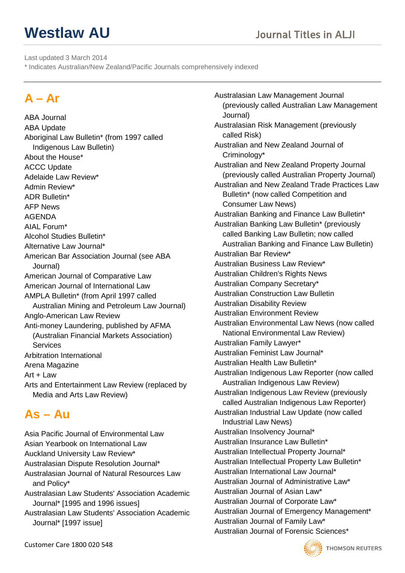Last updated 3 March 2014

\* Indicates Australian/New Zealand/Pacific Journals comprehensively indexed

# **A – Ar**

ABA Journal ABA Update Aboriginal Law Bulletin\* (from 1997 called Indigenous Law Bulletin) About the House\* ACCC Update Adelaide Law Review\* Admin Review\* ADR Bulletin\* AFP News AGENDA AIAL Forum\* Alcohol Studies Bulletin\* Alternative Law Journal\* American Bar Association Journal (see ABA Journal) American Journal of Comparative Law American Journal of International Law AMPLA Bulletin\* (from April 1997 called Australian Mining and Petroleum Law Journal) Anglo-American Law Review Anti-money Laundering, published by AFMA (Australian Financial Markets Association) **Services** Arbitration International Arena Magazine Art + Law Arts and Entertainment Law Review (replaced by Media and Arts Law Review)

# **As – Au**

Asia Pacific Journal of Environmental Law Asian Yearbook on International Law Auckland University Law Review\* Australasian Dispute Resolution Journal\* Australasian Journal of Natural Resources Law and Policy\* Australasian Law Students' Association Academic Journal\* [1995 and 1996 issues]

Australasian Law Students' Association Academic Journal\* [1997 issue]

Australasian Law Management Journal (previously called Australian Law Management Journal) Australasian Risk Management (previously called Risk) Australian and New Zealand Journal of Criminology\* Australian and New Zealand Property Journal (previously called Australian Property Journal) Australian and New Zealand Trade Practices Law Bulletin\* (now called Competition and Consumer Law News) Australian Banking and Finance Law Bulletin\* Australian Banking Law Bulletin\* (previously called Banking Law Bulletin; now called Australian Banking and Finance Law Bulletin) Australian Bar Review\* Australian Business Law Review\* Australian Children's Rights News Australian Company Secretary\* Australian Construction Law Bulletin Australian Disability Review Australian Environment Review Australian Environmental Law News (now called National Environmental Law Review) Australian Family Lawyer\* Australian Feminist Law Journal\* Australian Health Law Bulletin\* Australian Indigenous Law Reporter (now called Australian Indigenous Law Review) Australian Indigenous Law Review (previously called Australian Indigenous Law Reporter) Australian Industrial Law Update (now called Industrial Law News) Australian Insolvency Journal\* Australian Insurance Law Bulletin\* Australian Intellectual Property Journal\* Australian Intellectual Property Law Bulletin\* Australian International Law Journal\* Australian Journal of Administrative Law\* Australian Journal of Asian Law\* Australian Journal of Corporate Law\* Australian Journal of Emergency Management\* Australian Journal of Family Law\* Australian Journal of Forensic Sciences\*

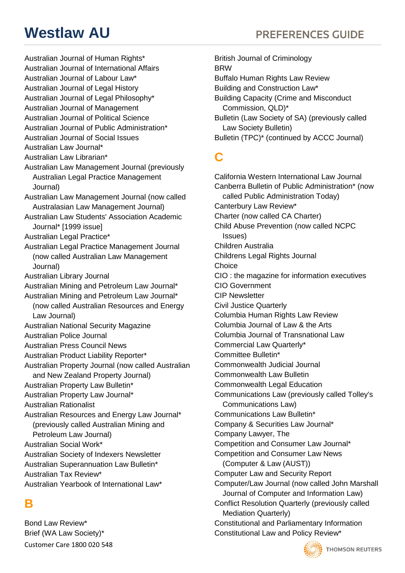- Australian Journal of Human Rights\*
- Australian Journal of International Affairs
- Australian Journal of Labour Law\*
- Australian Journal of Legal History
- Australian Journal of Legal Philosophy\*
- Australian Journal of Management
- Australian Journal of Political Science
- Australian Journal of Public Administration\*
- Australian Journal of Social Issues
- Australian Law Journal\*
- Australian Law Librarian\*
- Australian Law Management Journal (previously Australian Legal Practice Management Journal)
- Australian Law Management Journal (now called Australasian Law Management Journal)
- Australian Law Students' Association Academic Journal\* [1999 issue]
- Australian Legal Practice\*
- Australian Legal Practice Management Journal (now called Australian Law Management Journal)
- Australian Library Journal
- Australian Mining and Petroleum Law Journal\*
- Australian Mining and Petroleum Law Journal\*
- (now called Australian Resources and Energy Law Journal)
- Australian National Security Magazine
- Australian Police Journal
- Australian Press Council News
- Australian Product Liability Reporter\*
- Australian Property Journal (now called Australian and New Zealand Property Journal)
- Australian Property Law Bulletin\*
- Australian Property Law Journal\*
- Australian Rationalist
- Australian Resources and Energy Law Journal\* (previously called Australian Mining and
- Petroleum Law Journal)

Australian Social Work\*

- Australian Society of Indexers Newsletter
- Australian Superannuation Law Bulletin\*
- Australian Tax Review\*
- Australian Yearbook of International Law\*

# **B**

Bond Law Review\* Brief (WA Law Society)\* Customer Care 1800 020 548

- **Westlaw AU** PREFERENCES GUIDE
	- British Journal of Criminology BRW Buffalo Human Rights Law Review Building and Construction Law\* Building Capacity (Crime and Misconduct Commission, QLD)\* Bulletin (Law Society of SA) (previously called Law Society Bulletin) Bulletin (TPC)\* (continued by ACCC Journal)

# **C**

California Western International Law Journal Canberra Bulletin of Public Administration\* (now called Public Administration Today) Canterbury Law Review\* Charter (now called CA Charter) Child Abuse Prevention (now called NCPC Issues) Children Australia Childrens Legal Rights Journal **Choice** CIO : the magazine for information executives CIO Government CIP Newsletter Civil Justice Quarterly Columbia Human Rights Law Review Columbia Journal of Law & the Arts Columbia Journal of Transnational Law Commercial Law Quarterly\* Committee Bulletin\* Commonwealth Judicial Journal Commonwealth Law Bulletin Commonwealth Legal Education Communications Law (previously called Tolley's Communications Law) Communications Law Bulletin\* Company & Securities Law Journal\* Company Lawyer, The Competition and Consumer Law Journal\* Competition and Consumer Law News (Computer & Law (AUST)) Computer Law and Security Report Computer/Law Journal (now called John Marshall Journal of Computer and Information Law) Conflict Resolution Quarterly (previously called Mediation Quarterly) Constitutional and Parliamentary Information Constitutional Law and Policy Review\*

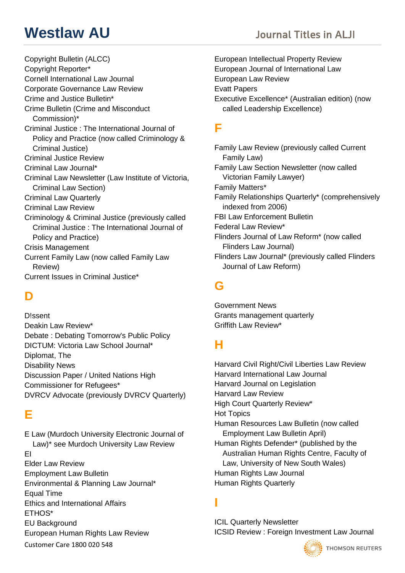Copyright Bulletin (ALCC) Copyright Reporter\* Cornell International Law Journal Corporate Governance Law Review Crime and Justice Bulletin\* Crime Bulletin (Crime and Misconduct Commission)\* Criminal Justice : The International Journal of Policy and Practice (now called Criminology & Criminal Justice) Criminal Justice Review Criminal Law Journal\* Criminal Law Newsletter (Law Institute of Victoria, Criminal Law Section) Criminal Law Quarterly Criminal Law Review Criminology & Criminal Justice (previously called Criminal Justice : The International Journal of Policy and Practice) Crisis Management Current Family Law (now called Family Law Review) Current Issues in Criminal Justice\*

# **D**

D!ssent Deakin Law Review\* Debate : Debating Tomorrow's Public Policy DICTUM: Victoria Law School Journal\* Diplomat, The Disability News Discussion Paper / United Nations High Commissioner for Refugees\* DVRCV Advocate (previously DVRCV Quarterly)

## **E**

E Law (Murdoch University Electronic Journal of Law)\* see Murdoch University Law Review EI Elder Law Review Employment Law Bulletin Environmental & Planning Law Journal\* Equal Time Ethics and International Affairs ETHOS\* EU Background European Human Rights Law Review Customer Care 1800 020 548

European Intellectual Property Review European Journal of International Law European Law Review Evatt Papers Executive Excellence\* (Australian edition) (now called Leadership Excellence)

## **F**

Family Law Review (previously called Current Family Law) Family Law Section Newsletter (now called Victorian Family Lawyer) Family Matters\* Family Relationships Quarterly\* (comprehensively indexed from 2006) FBI Law Enforcement Bulletin Federal Law Review\* Flinders Journal of Law Reform\* (now called Flinders Law Journal) Flinders Law Journal\* (previously called Flinders Journal of Law Reform)

## **G**

Government News Grants management quarterly Griffith Law Review\*

# **H**

Harvard Civil Right/Civil Liberties Law Review Harvard International Law Journal Harvard Journal on Legislation Harvard Law Review High Court Quarterly Review\* Hot Topics Human Resources Law Bulletin (now called Employment Law Bulletin April) Human Rights Defender\* (published by the Australian Human Rights Centre, Faculty of Law, University of New South Wales) Human Rights Law Journal Human Rights Quarterly

# **I**

ICIL Quarterly Newsletter ICSID Review : Foreign Investment Law Journal

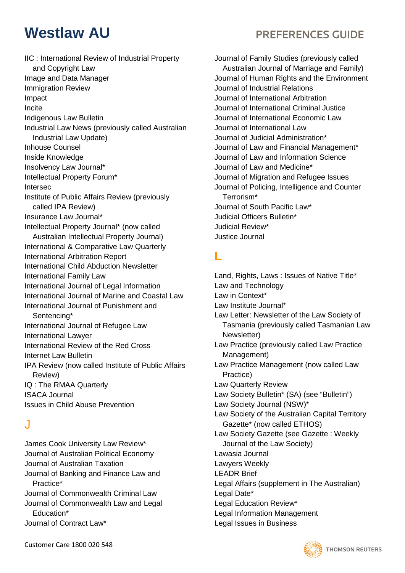IIC : International Review of Industrial Property and Copyright Law Image and Data Manager Immigration Review Impact Incite Indigenous Law Bulletin Industrial Law News (previously called Australian Industrial Law Update) Inhouse Counsel Inside Knowledge Insolvency Law Journal\* Intellectual Property Forum\* Intersec Institute of Public Affairs Review (previously called IPA Review) Insurance Law Journal\* Intellectual Property Journal\* (now called Australian Intellectual Property Journal) International & Comparative Law Quarterly International Arbitration Report International Child Abduction Newsletter International Family Law International Journal of Legal Information International Journal of Marine and Coastal Law International Journal of Punishment and Sentencing\* International Journal of Refugee Law International Lawyer International Review of the Red Cross Internet Law Bulletin IPA Review (now called Institute of Public Affairs Review) IQ : The RMAA Quarterly ISACA Journal Issues in Child Abuse Prevention

## J

James Cook University Law Review\* Journal of Australian Political Economy Journal of Australian Taxation Journal of Banking and Finance Law and Practice\* Journal of Commonwealth Criminal Law Journal of Commonwealth Law and Legal Education\* Journal of Contract Law\*

**Westlaw AU** PREFERENCES GUIDE

Journal of Family Studies (previously called Australian Journal of Marriage and Family) Journal of Human Rights and the Environment Journal of Industrial Relations Journal of International Arbitration Journal of International Criminal Justice Journal of International Economic Law Journal of International Law Journal of Judicial Administration\* Journal of Law and Financial Management\* Journal of Law and Information Science Journal of Law and Medicine\* Journal of Migration and Refugee Issues Journal of Policing, Intelligence and Counter Terrorism\* Journal of South Pacific Law\* Judicial Officers Bulletin\* Judicial Review\* Justice Journal

## **L**

Land, Rights, Laws : Issues of Native Title\* Law and Technology Law in Context\* Law Institute Journal\* Law Letter: Newsletter of the Law Society of Tasmania (previously called Tasmanian Law Newsletter) Law Practice (previously called Law Practice Management) Law Practice Management (now called Law Practice) Law Quarterly Review Law Society Bulletin\* (SA) (see "Bulletin") Law Society Journal (NSW)\* Law Society of the Australian Capital Territory Gazette\* (now called ETHOS) Law Society Gazette (see Gazette : Weekly Journal of the Law Society) Lawasia Journal Lawyers Weekly LEADR Brief Legal Affairs (supplement in The Australian) Legal Date\* Legal Education Review\* Legal Information Management Legal Issues in Business

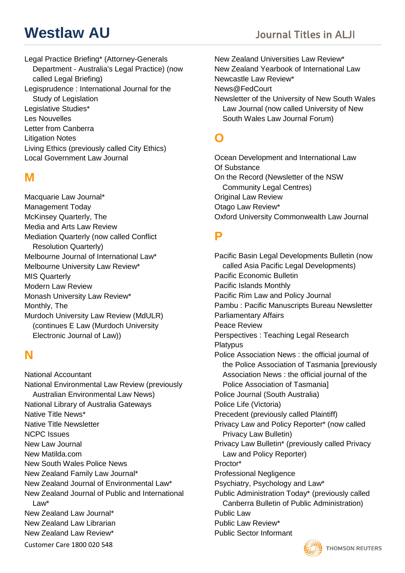# **Westlaw AU Secure 2018 Journal Titles in ALII**

Legal Practice Briefing\* (Attorney-Generals Department - Australia's Legal Practice) (now called Legal Briefing) Legisprudence : International Journal for the Study of Legislation Legislative Studies\* Les Nouvelles Letter from Canberra Litigation Notes Living Ethics (previously called City Ethics) Local Government Law Journal

## **M**

Macquarie Law Journal\* Management Today McKinsey Quarterly, The Media and Arts Law Review Mediation Quarterly (now called Conflict Resolution Quarterly) Melbourne Journal of International Law\* Melbourne University Law Review\* MIS Quarterly Modern Law Review Monash University Law Review\* Monthly, The Murdoch University Law Review (MdULR) (continues E Law (Murdoch University Electronic Journal of Law))

## **N**

National Accountant National Environmental Law Review (previously Australian Environmental Law News) National Library of Australia Gateways Native Title News\* Native Title Newsletter NCPC Issues New Law Journal New Matilda.com New South Wales Police News New Zealand Family Law Journal\* New Zealand Journal of Environmental Law\* New Zealand Journal of Public and International Law\* New Zealand Law Journal\* New Zealand Law Librarian New Zealand Law Review\*

Customer Care 1800 020 548

New Zealand Universities Law Review\* New Zealand Yearbook of International Law Newcastle Law Review\* News@FedCourt Newsletter of the University of New South Wales Law Journal (now called University of New South Wales Law Journal Forum)

## **O**

Ocean Development and International Law Of Substance On the Record (Newsletter of the NSW Community Legal Centres) Original Law Review Otago Law Review\* Oxford University Commonwealth Law Journal

### **P**

Pacific Basin Legal Developments Bulletin (now called Asia Pacific Legal Developments) Pacific Economic Bulletin Pacific Islands Monthly Pacific Rim Law and Policy Journal Pambu : Pacific Manuscripts Bureau Newsletter Parliamentary Affairs Peace Review Perspectives : Teaching Legal Research **Platypus** Police Association News : the official journal of the Police Association of Tasmania [previously Association News : the official journal of the Police Association of Tasmania] Police Journal (South Australia) Police Life (Victoria) Precedent (previously called Plaintiff) Privacy Law and Policy Reporter\* (now called Privacy Law Bulletin) Privacy Law Bulletin\* (previously called Privacy Law and Policy Reporter) Proctor\* Professional Negligence Psychiatry, Psychology and Law\* Public Administration Today\* (previously called Canberra Bulletin of Public Administration) Public Law Public Law Review\* Public Sector Informant